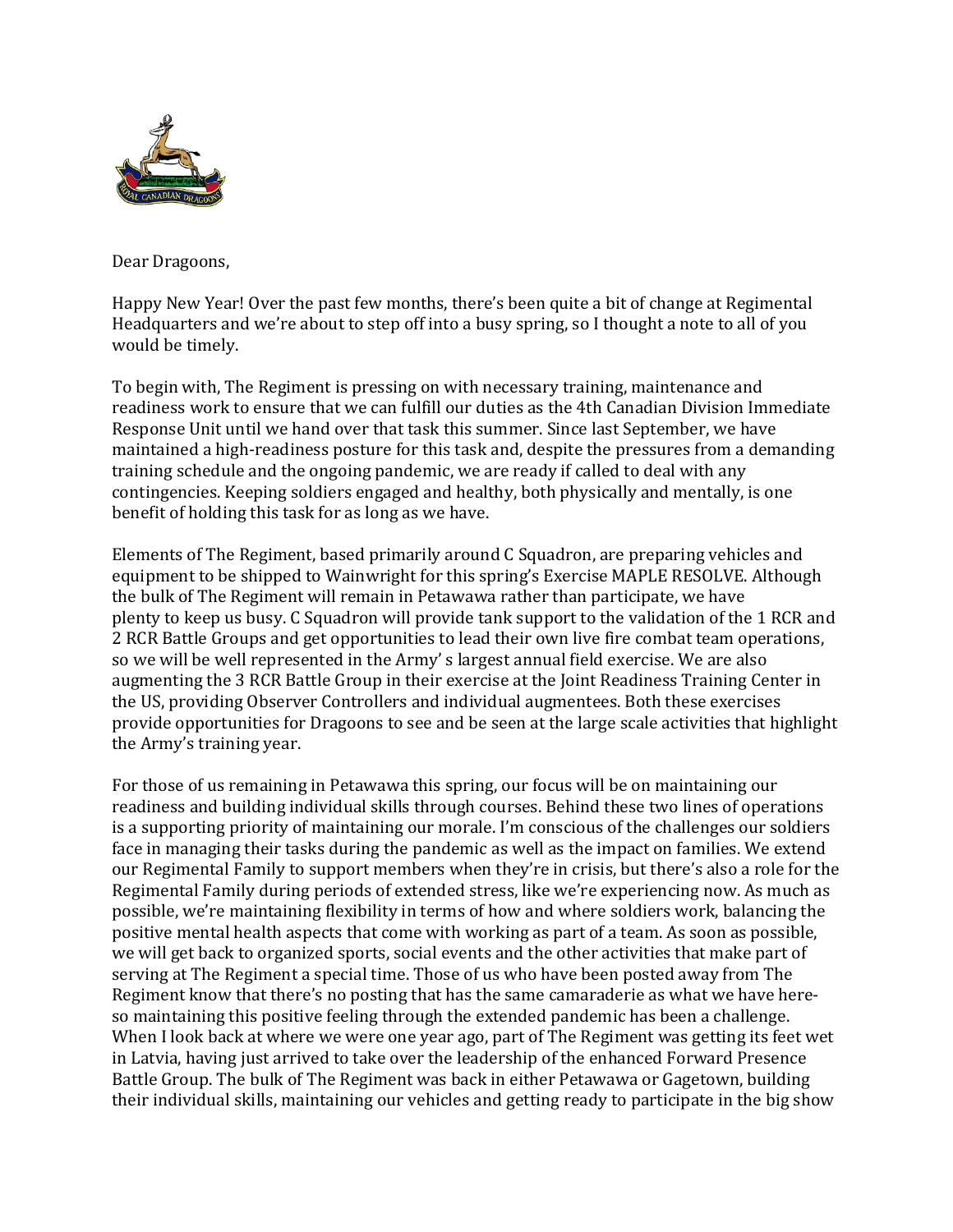

Dear Dragoons,

Happy New Year! Over the past few months, there's been quite a bit of change at Regimental Headquarters and we're about to step off into a busy spring, so I thought a note to all of you would be timely.

To begin with, The Regiment is pressing on with necessary training, maintenance and readiness work to ensure that we can fulfill our duties as the 4th Canadian Division Immediate Response Unit until we hand over that task this summer. Since last September, we have maintained a high-readiness posture for this task and, despite the pressures from a demanding training schedule and the ongoing pandemic, we are ready if called to deal with any contingencies. Keeping soldiers engaged and healthy, both physically and mentally, is one benefit of holding this task for as long as we have.

Elements of The Regiment, based primarily around C Squadron, are preparing vehicles and equipment to be shipped to Wainwright for this spring's Exercise MAPLE RESOLVE. Although the bulk of The Regiment will remain in Petawawa rather than participate, we have plenty to keep us busy. C Squadron will provide tank support to the validation of the 1 RCR and 2 RCR Battle Groups and get opportunities to lead their own live fire combat team operations, so we will be well represented in the Army' s largest annual field exercise. We are also augmenting the 3 RCR Battle Group in their exercise at the Joint Readiness Training Center in the US, providing Observer Controllers and individual augmentees. Both these exercises provide opportunities for Dragoons to see and be seen at the large scale activities that highlight the Army's training year.

For those of us remaining in Petawawa this spring, our focus will be on maintaining our readiness and building individual skills through courses. Behind these two lines of operations is a supporting priority of maintaining our morale. I'm conscious of the challenges our soldiers face in managing their tasks during the pandemic as well as the impact on families. We extend our Regimental Family to support members when they're in crisis, but there's also a role for the Regimental Family during periods of extended stress, like we're experiencing now. As much as possible, we're maintaining flexibility in terms of how and where soldiers work, balancing the positive mental health aspects that come with working as part of a team. As soon as possible, we will get back to organized sports, social events and the other activities that make part of serving at The Regiment a special time. Those of us who have been posted away from The Regiment know that there's no posting that has the same camaraderie as what we have hereso maintaining this positive feeling through the extended pandemic has been a challenge. When I look back at where we were one year ago, part of The Regiment was getting its feet wet in Latvia, having just arrived to take over the leadership of the enhanced Forward Presence Battle Group. The bulk of The Regiment was back in either Petawawa or Gagetown, building their individual skills, maintaining our vehicles and getting ready to participate in the big show